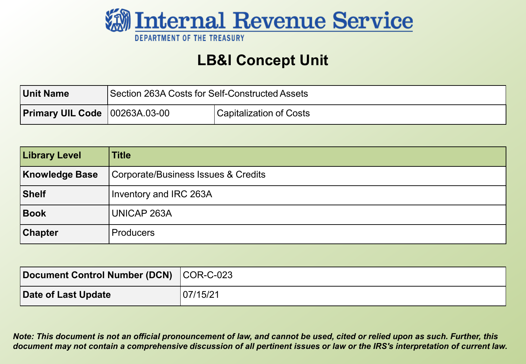

#### **LB&I Concept Unit**

| Unit Name                              | Section 263A Costs for Self-Constructed Assets |                         |
|----------------------------------------|------------------------------------------------|-------------------------|
| <b>Primary UIL Code   00263A.03-00</b> |                                                | Capitalization of Costs |

| <b>Library Level</b>  | <b>Title</b>                        |
|-----------------------|-------------------------------------|
| <b>Knowledge Base</b> | Corporate/Business Issues & Credits |
| Shelf                 | Inventory and IRC 263A              |
| Book                  | <b>UNICAP 263A</b>                  |
| <b>Chapter</b>        | Producers                           |

| Document Control Number (DCN) COR-C-023 |          |
|-----------------------------------------|----------|
| Date of Last Update                     | 07/15/21 |

 *Note: This document is not an official pronouncement of law, and cannot be used, cited or relied upon as such. Further, this document may not contain a comprehensive discussion of all pertinent issues or law or the IRS's interpretation of current law.*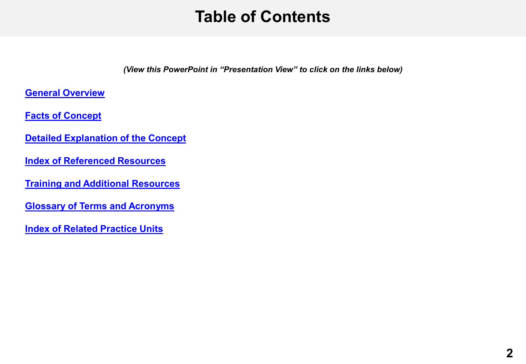#### **Table of Contents**

*(View this PowerPoint in "Presentation View" to click on the links below)* 

<span id="page-1-0"></span>**[General Overview](#page-2-0)** 

 **[Facts of Concept](#page-3-0)** 

- **[Detailed Explanation of the Concept](#page-4-0)**
- **[Index of Referenced Resources](#page-19-0)**
- **[Training and Additional Resources](#page-20-0)**
- **[Glossary of Terms and Acronyms](#page-21-0)**

 **[Index of Related Practice Units](#page-22-0)**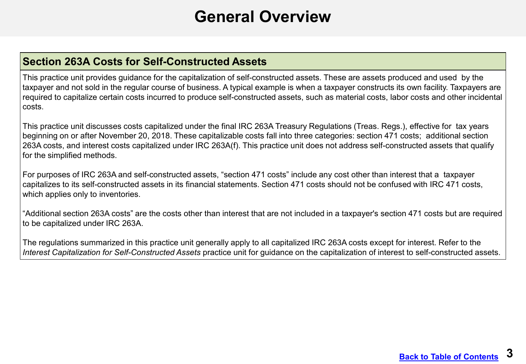#### **General Overview**

#### <span id="page-2-0"></span>**Section 263A Costs for Self-Constructed Assets**

This practice unit provides guidance for the capitalization of self-constructed assets. These are assets produced and used by the taxpayer and not sold in the regular course of business. A typical example is when a taxpayer constructs its own facility. Taxpayers are required to capitalize certain costs incurred to produce self-constructed assets, such as material costs, labor costs and other incidental costs.

This practice unit discusses costs capitalized under the final IRC 263A Treasury Regulations (Treas. Regs.), effective for tax years beginning on or after November 20, 2018. These capitalizable costs fall into three categories: section 471 costs; additional section 263A costs, and interest costs capitalized under IRC 263A(f). This practice unit does not address self-constructed assets that qualify for the simplified methods.

For purposes of IRC 263A and self-constructed assets, "section 471 costs" include any cost other than interest that a taxpayer capitalizes to its self-constructed assets in its financial statements. Section 471 costs should not be confused with IRC 471 costs, which applies only to inventories.

"Additional section 263A costs" are the costs other than interest that are not included in a taxpayer's section 471 costs but are required to be capitalized under IRC 263A.

 The regulations summarized in this practice unit generally apply to all capitalized IRC 263A costs except for interest. Refer to the *Interest Capitalization for Self-Constructed Assets* practice unit for guidance on the capitalization of interest to self-constructed assets.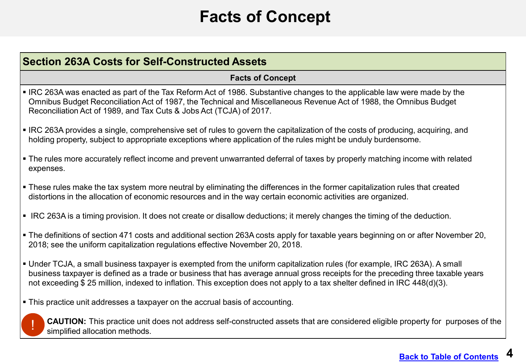## **Facts of Concept**

<span id="page-3-0"></span>

| <b>Section 263A Costs for Self-Constructed Assets</b>                                                                                                                                                                                                                                                                                                                                        |  |
|----------------------------------------------------------------------------------------------------------------------------------------------------------------------------------------------------------------------------------------------------------------------------------------------------------------------------------------------------------------------------------------------|--|
| <b>Facts of Concept</b>                                                                                                                                                                                                                                                                                                                                                                      |  |
| • IRC 263A was enacted as part of the Tax Reform Act of 1986. Substantive changes to the applicable law were made by the<br>Omnibus Budget Reconciliation Act of 1987, the Technical and Miscellaneous Revenue Act of 1988, the Omnibus Budget<br>Reconciliation Act of 1989, and Tax Cuts & Jobs Act (TCJA) of 2017.                                                                        |  |
| • IRC 263A provides a single, comprehensive set of rules to govern the capitalization of the costs of producing, acquiring, and<br>holding property, subject to appropriate exceptions where application of the rules might be unduly burdensome.                                                                                                                                            |  |
| • The rules more accurately reflect income and prevent unwarranted deferral of taxes by properly matching income with related<br>expenses.                                                                                                                                                                                                                                                   |  |
| • These rules make the tax system more neutral by eliminating the differences in the former capitalization rules that created<br>distortions in the allocation of economic resources and in the way certain economic activities are organized.                                                                                                                                               |  |
| • IRC 263A is a timing provision. It does not create or disallow deductions; it merely changes the timing of the deduction.                                                                                                                                                                                                                                                                  |  |
| . The definitions of section 471 costs and additional section 263A costs apply for taxable years beginning on or after November 20,<br>2018; see the uniform capitalization regulations effective November 20, 2018.                                                                                                                                                                         |  |
| • Under TCJA, a small business taxpayer is exempted from the uniform capitalization rules (for example, IRC 263A). A small<br>business taxpayer is defined as a trade or business that has average annual gross receipts for the preceding three taxable years<br>not exceeding \$25 million, indexed to inflation. This exception does not apply to a tax shelter defined in IRC 448(d)(3). |  |
| • This practice unit addresses a taxpayer on the accrual basis of accounting.                                                                                                                                                                                                                                                                                                                |  |
| CAUTION: This practice unit does not address self-constructed assets that are considered eligible property for purposes of the<br>simplified allocation methods.                                                                                                                                                                                                                             |  |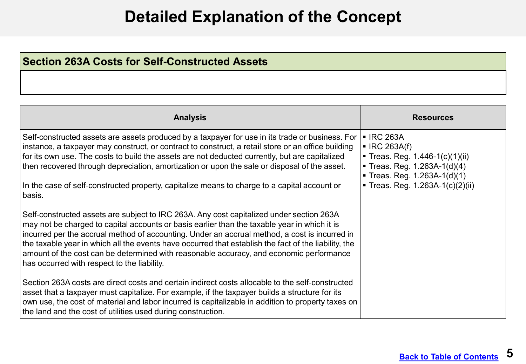#### **Detailed Explanation of the Concept**

#### <span id="page-4-0"></span>**Section 263A Costs for Self-Constructed Assets**

| <b>Analysis</b>                                                                                                                                                                                                                                                                                                                                                                                                                                                                                                                             | <b>Resources</b>                                                                                                                               |
|---------------------------------------------------------------------------------------------------------------------------------------------------------------------------------------------------------------------------------------------------------------------------------------------------------------------------------------------------------------------------------------------------------------------------------------------------------------------------------------------------------------------------------------------|------------------------------------------------------------------------------------------------------------------------------------------------|
| Self-constructed assets are assets produced by a taxpayer for use in its trade or business. For<br>instance, a taxpayer may construct, or contract to construct, a retail store or an office building<br>for its own use. The costs to build the assets are not deducted currently, but are capitalized<br>then recovered through depreciation, amortization or upon the sale or disposal of the asset.                                                                                                                                     | <b>- IRC 263A</b><br>$\blacksquare$ IRC 263A(f)<br>■ Treas. Reg. 1.446-1(c)(1)(ii)<br>Treas. Reg. 1.263A-1(d)(4)<br>Treas. Reg. 1.263A-1(d)(1) |
| In the case of self-constructed property, capitalize means to charge to a capital account or<br>basis.                                                                                                                                                                                                                                                                                                                                                                                                                                      | ■ Treas. Reg. 1.263A-1(c)(2)(ii)                                                                                                               |
| Self-constructed assets are subject to IRC 263A. Any cost capitalized under section 263A<br>may not be charged to capital accounts or basis earlier than the taxable year in which it is<br>incurred per the accrual method of accounting. Under an accrual method, a cost is incurred in<br>the taxable year in which all the events have occurred that establish the fact of the liability, the<br>amount of the cost can be determined with reasonable accuracy, and economic performance<br>has occurred with respect to the liability. |                                                                                                                                                |
| Section 263A costs are direct costs and certain indirect costs allocable to the self-constructed<br>asset that a taxpayer must capitalize. For example, if the taxpayer builds a structure for its<br>own use, the cost of material and labor incurred is capitalizable in addition to property taxes on<br>the land and the cost of utilities used during construction.                                                                                                                                                                    |                                                                                                                                                |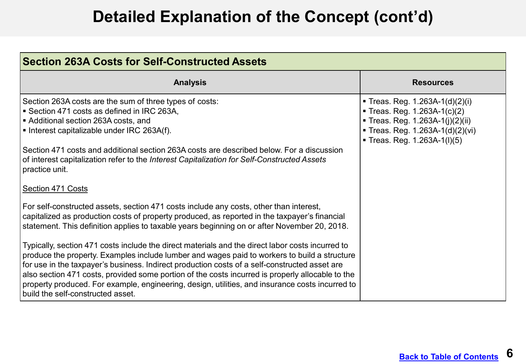| <b>Section 263A Costs for Self-Constructed Assets</b>                                                                                                                                                                                                                                                                                                                                                                                                                                                                                                                                                                                                                                                                                                                                                                                      |                                                                                                                                                                   |  |
|--------------------------------------------------------------------------------------------------------------------------------------------------------------------------------------------------------------------------------------------------------------------------------------------------------------------------------------------------------------------------------------------------------------------------------------------------------------------------------------------------------------------------------------------------------------------------------------------------------------------------------------------------------------------------------------------------------------------------------------------------------------------------------------------------------------------------------------------|-------------------------------------------------------------------------------------------------------------------------------------------------------------------|--|
| <b>Analysis</b>                                                                                                                                                                                                                                                                                                                                                                                                                                                                                                                                                                                                                                                                                                                                                                                                                            | <b>Resources</b>                                                                                                                                                  |  |
| Section 263A costs are the sum of three types of costs:<br>I ■ Section 471 costs as defined in IRC 263A,<br>L■ Additional section 263A costs, and<br>$\vert$ • Interest capitalizable under IRC 263A(f).<br>Section 471 costs and additional section 263A costs are described below. For a discussion<br>of interest capitalization refer to the Interest Capitalization for Self-Constructed Assets<br>practice unit.<br>Section 471 Costs<br>For self-constructed assets, section 471 costs include any costs, other than interest,<br>capitalized as production costs of property produced, as reported in the taxpayer's financial<br>statement. This definition applies to taxable years beginning on or after November 20, 2018.<br>Typically, section 471 costs include the direct materials and the direct labor costs incurred to | Treas. Reg. 1.263A-1(d)(2)(i)<br>Treas. Reg. $1.263A-1(c)(2)$<br>■ Treas. Reg. 1.263A-1(j)(2)(ii)<br>Treas. Reg. 1.263A-1(d)(2)(vi)<br>Treas. Reg. 1.263A-1(I)(5) |  |
| $\mid$ produce the property. Examples include lumber and wages paid to workers to build a structure<br>for use in the taxpayer's business. Indirect production costs of a self-constructed asset are<br>also section 471 costs, provided some portion of the costs incurred is properly allocable to the<br>property produced. For example, engineering, design, utilities, and insurance costs incurred to<br>I build the self-constructed asset.                                                                                                                                                                                                                                                                                                                                                                                         |                                                                                                                                                                   |  |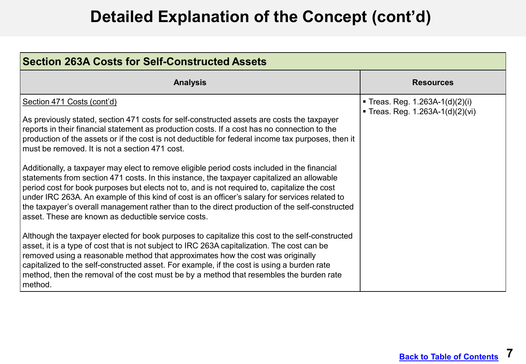| <b>Section 263A Costs for Self-Constructed Assets</b>                                                                                                                                                                                                                                                                                                                                                                                                                                                                                                                                                                                                                                                                                                                                                                                                                                                                                                                                                                                                                                                                                                                                                                                                                                                                                                                                                                              |                                                                   |  |
|------------------------------------------------------------------------------------------------------------------------------------------------------------------------------------------------------------------------------------------------------------------------------------------------------------------------------------------------------------------------------------------------------------------------------------------------------------------------------------------------------------------------------------------------------------------------------------------------------------------------------------------------------------------------------------------------------------------------------------------------------------------------------------------------------------------------------------------------------------------------------------------------------------------------------------------------------------------------------------------------------------------------------------------------------------------------------------------------------------------------------------------------------------------------------------------------------------------------------------------------------------------------------------------------------------------------------------------------------------------------------------------------------------------------------------|-------------------------------------------------------------------|--|
| <b>Analysis</b>                                                                                                                                                                                                                                                                                                                                                                                                                                                                                                                                                                                                                                                                                                                                                                                                                                                                                                                                                                                                                                                                                                                                                                                                                                                                                                                                                                                                                    | <b>Resources</b>                                                  |  |
| Section 471 Costs (cont'd)<br>As previously stated, section 471 costs for self-constructed assets are costs the taxpayer<br>reports in their financial statement as production costs. If a cost has no connection to the<br>production of the assets or if the cost is not deductible for federal income tax purposes, then it<br>must be removed. It is not a section 471 cost.<br>Additionally, a taxpayer may elect to remove eligible period costs included in the financial<br>statements from section 471 costs. In this instance, the taxpayer capitalized an allowable<br>period cost for book purposes but elects not to, and is not required to, capitalize the cost<br>under IRC 263A. An example of this kind of cost is an officer's salary for services related to<br>the taxpayer's overall management rather than to the direct production of the self-constructed<br>asset. These are known as deductible service costs.<br>Although the taxpayer elected for book purposes to capitalize this cost to the self-constructed<br>asset, it is a type of cost that is not subject to IRC 263A capitalization. The cost can be<br>removed using a reasonable method that approximates how the cost was originally<br>capitalized to the self-constructed asset. For example, if the cost is using a burden rate<br>method, then the removal of the cost must be by a method that resembles the burden rate<br>method. | ■ Treas. Reg. 1.263A-1(d)(2)(i)<br>Treas. Reg. 1.263A-1(d)(2)(vi) |  |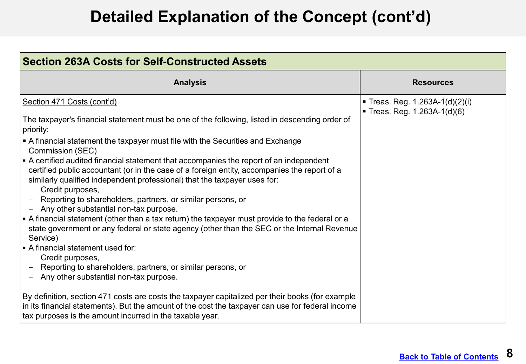| <b>Section 263A Costs for Self-Constructed Assets</b>                                                                                                                                                                                                                                                                                                                                                                                                                                                                                                                                                                                                                                                                                                                                                                                                                                                                                                                                                                                                   |                                                                 |  |
|---------------------------------------------------------------------------------------------------------------------------------------------------------------------------------------------------------------------------------------------------------------------------------------------------------------------------------------------------------------------------------------------------------------------------------------------------------------------------------------------------------------------------------------------------------------------------------------------------------------------------------------------------------------------------------------------------------------------------------------------------------------------------------------------------------------------------------------------------------------------------------------------------------------------------------------------------------------------------------------------------------------------------------------------------------|-----------------------------------------------------------------|--|
| <b>Analysis</b>                                                                                                                                                                                                                                                                                                                                                                                                                                                                                                                                                                                                                                                                                                                                                                                                                                                                                                                                                                                                                                         | <b>Resources</b>                                                |  |
| Section 471 Costs (cont'd)<br>The taxpayer's financial statement must be one of the following, listed in descending order of<br>priority:<br>$\blacktriangleright$ A financial statement the taxpayer must file with the Securities and Exchange<br>Commission (SEC)<br>• A certified audited financial statement that accompanies the report of an independent<br>certified public accountant (or in the case of a foreign entity, accompanies the report of a<br>similarly qualified independent professional) that the taxpayer uses for:<br>Credit purposes,<br>Reporting to shareholders, partners, or similar persons, or<br>Any other substantial non-tax purpose.<br>A financial statement (other than a tax return) the taxpayer must provide to the federal or a<br>state government or any federal or state agency (other than the SEC or the Internal Revenue<br>Service)<br>• A financial statement used for:<br>Credit purposes,<br>Reporting to shareholders, partners, or similar persons, or<br>Any other substantial non-tax purpose. | ■ Treas. Reg. 1.263A-1(d)(2)(i)<br>Treas. Reg. $1.263A-1(d)(6)$ |  |
| By definition, section 471 costs are costs the taxpayer capitalized per their books (for example<br>$\vert$ in its financial statements). But the amount of the cost the taxpayer can use for federal income<br>tax purposes is the amount incurred in the taxable year.                                                                                                                                                                                                                                                                                                                                                                                                                                                                                                                                                                                                                                                                                                                                                                                |                                                                 |  |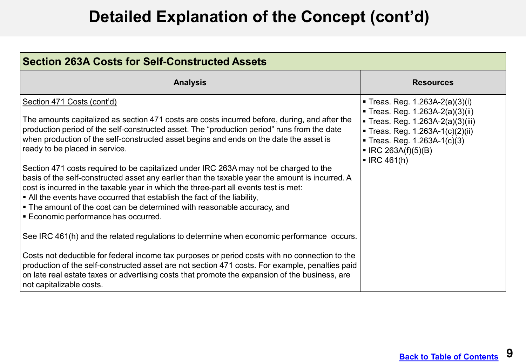| <b>Section 263A Costs for Self-Constructed Assets</b>                                                                                                                                                                                                                                                                                                                                                                                                                                                                                                                                                                                                                                                                                                                                                                                                                                                                                                                                                                                                                                                                                                                                                                                               |                                                                                                                                                                                                                                         |  |
|-----------------------------------------------------------------------------------------------------------------------------------------------------------------------------------------------------------------------------------------------------------------------------------------------------------------------------------------------------------------------------------------------------------------------------------------------------------------------------------------------------------------------------------------------------------------------------------------------------------------------------------------------------------------------------------------------------------------------------------------------------------------------------------------------------------------------------------------------------------------------------------------------------------------------------------------------------------------------------------------------------------------------------------------------------------------------------------------------------------------------------------------------------------------------------------------------------------------------------------------------------|-----------------------------------------------------------------------------------------------------------------------------------------------------------------------------------------------------------------------------------------|--|
| <b>Analysis</b>                                                                                                                                                                                                                                                                                                                                                                                                                                                                                                                                                                                                                                                                                                                                                                                                                                                                                                                                                                                                                                                                                                                                                                                                                                     | <b>Resources</b>                                                                                                                                                                                                                        |  |
| Section 471 Costs (cont'd)<br>The amounts capitalized as section 471 costs are costs incurred before, during, and after the<br>production period of the self-constructed asset. The "production period" runs from the date<br>when production of the self-constructed asset begins and ends on the date the asset is<br>ready to be placed in service.<br>Section 471 costs required to be capitalized under IRC 263A may not be charged to the<br>basis of the self-constructed asset any earlier than the taxable year the amount is incurred. A<br>cost is incurred in the taxable year in which the three-part all events test is met:<br>• All the events have occurred that establish the fact of the liability,<br>• The amount of the cost can be determined with reasonable accuracy, and<br><b>Economic performance has occurred.</b><br>See IRC 461(h) and the related regulations to determine when economic performance occurs.<br>Costs not deductible for federal income tax purposes or period costs with no connection to the<br>production of the self-constructed asset are not section 471 costs. For example, penalties paid<br>on late real estate taxes or advertising costs that promote the expansion of the business, are | Treas. Reg. $1.263A-2(a)(3)(i)$<br>■ Treas. Reg. 1.263A-2(a)(3)(ii)<br>Treas. Reg. 1.263A-2(a)(3)(iii)<br>Treas. Reg. 1.263A-1(c)(2)(ii)<br>Treas. Reg. 1.263A-1(c)(3)<br>$\blacksquare$ IRC 263A(f)(5)(B)<br>$\blacksquare$ IRC 461(h) |  |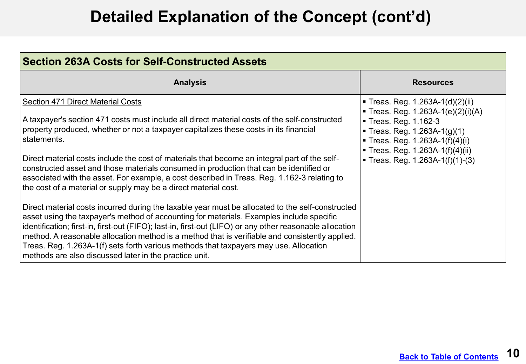| <b>Section 263A Costs for Self-Constructed Assets</b>                                                                                                                                                                                                                                                                                                                                                                                                                                                                                                                                                                                                                                                                                                                                                          |                                                                                                                                                                                                                                                |  |
|----------------------------------------------------------------------------------------------------------------------------------------------------------------------------------------------------------------------------------------------------------------------------------------------------------------------------------------------------------------------------------------------------------------------------------------------------------------------------------------------------------------------------------------------------------------------------------------------------------------------------------------------------------------------------------------------------------------------------------------------------------------------------------------------------------------|------------------------------------------------------------------------------------------------------------------------------------------------------------------------------------------------------------------------------------------------|--|
| <b>Analysis</b>                                                                                                                                                                                                                                                                                                                                                                                                                                                                                                                                                                                                                                                                                                                                                                                                | <b>Resources</b>                                                                                                                                                                                                                               |  |
| <b>Section 471 Direct Material Costs</b><br>A taxpayer's section 471 costs must include all direct material costs of the self-constructed<br>property produced, whether or not a taxpayer capitalizes these costs in its financial<br>statements.<br>Direct material costs include the cost of materials that become an integral part of the self-<br>constructed asset and those materials consumed in production that can be identified or<br>associated with the asset. For example, a cost described in Treas. Reg. 1.162-3 relating to<br>the cost of a material or supply may be a direct material cost.<br>Direct material costs incurred during the taxable year must be allocated to the self-constructed<br>asset using the taxpayer's method of accounting for materials. Examples include specific | <b>Treas. Reg. 1.263A-1(d)(2)(ii)</b><br>Treas. Reg. 1.263A-1(e)(2)(i)(A)<br>Treas. Reg. 1.162-3<br>Treas. Reg. 1.263A-1(g)(1)<br><b>Treas. Reg. 1.263A-1(f)(4)(i)</b><br>■ Treas. Reg. 1.263A-1(f)(4)(ii)<br>Treas. Reg. $1.263A-1(f)(1)-(3)$ |  |
| identification; first-in, first-out (FIFO); last-in, first-out (LIFO) or any other reasonable allocation<br>method. A reasonable allocation method is a method that is verifiable and consistently applied.<br>Treas. Reg. 1.263A-1(f) sets forth various methods that taxpayers may use. Allocation<br>methods are also discussed later in the practice unit.                                                                                                                                                                                                                                                                                                                                                                                                                                                 |                                                                                                                                                                                                                                                |  |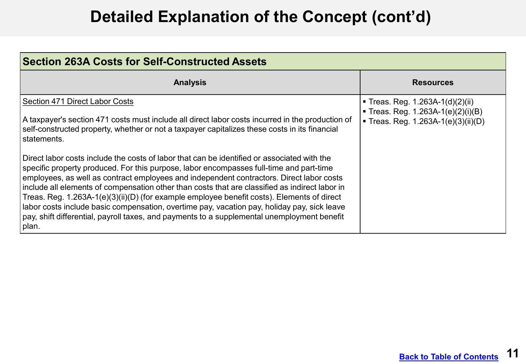| <b>Section 263A Costs for Self-Constructed Assets</b>                                                                                                                                                                                                                                                                                                                                                                                                                                                                                                                                                                                                                                                                                                                                                                                                                                                                                               |                                                                                                             |  |
|-----------------------------------------------------------------------------------------------------------------------------------------------------------------------------------------------------------------------------------------------------------------------------------------------------------------------------------------------------------------------------------------------------------------------------------------------------------------------------------------------------------------------------------------------------------------------------------------------------------------------------------------------------------------------------------------------------------------------------------------------------------------------------------------------------------------------------------------------------------------------------------------------------------------------------------------------------|-------------------------------------------------------------------------------------------------------------|--|
| <b>Analysis</b>                                                                                                                                                                                                                                                                                                                                                                                                                                                                                                                                                                                                                                                                                                                                                                                                                                                                                                                                     | <b>Resources</b>                                                                                            |  |
| Section 471 Direct Labor Costs<br>A taxpayer's section 471 costs must include all direct labor costs incurred in the production of<br>self-constructed property, whether or not a taxpayer capitalizes these costs in its financial<br>l statements.<br>l Direct labor costs include the costs of labor that can be identified or associated with the<br>specific property produced. For this purpose, labor encompasses full-time and part-time<br>employees, as well as contract employees and independent contractors. Direct labor costs<br>include all elements of compensation other than costs that are classified as indirect labor in<br>Treas. Reg. 1.263A-1(e)(3)(ii)(D) (for example employee benefit costs). Elements of direct<br>Iabor costs include basic compensation, overtime pay, vacation pay, holiday pay, sick leave<br>pay, shift differential, payroll taxes, and payments to a supplemental unemployment benefit<br>plan. | ■ Treas. Reg. $1.263A-1(d)(2)(ii)$<br>Treas. Reg. 1.263A-1(e)(2)(i)(B)<br>Treas. Reg. 1.263A-1(e)(3)(ii)(D) |  |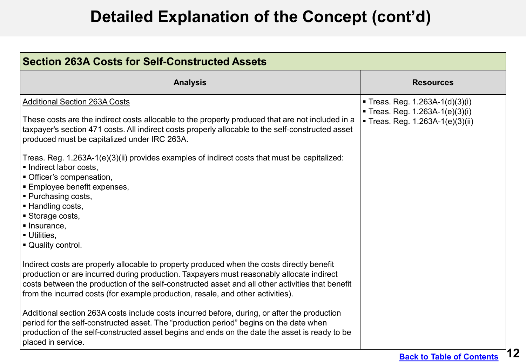| <b>Section 263A Costs for Self-Constructed Assets</b>                                                                                                                                                                                                                                                                                                                          |                                                                                                      |  |
|--------------------------------------------------------------------------------------------------------------------------------------------------------------------------------------------------------------------------------------------------------------------------------------------------------------------------------------------------------------------------------|------------------------------------------------------------------------------------------------------|--|
| <b>Analysis</b>                                                                                                                                                                                                                                                                                                                                                                | <b>Resources</b>                                                                                     |  |
| <b>Additional Section 263A Costs</b><br>These costs are the indirect costs allocable to the property produced that are not included in a<br>taxpayer's section 471 costs. All indirect costs properly allocable to the self-constructed asset<br>produced must be capitalized under IRC 263A.                                                                                  | ■ Treas. Reg. 1.263A-1(d)(3)(i)<br>Treas. Reg. 1.263A-1(e)(3)(i)<br>■ Treas. Reg. 1.263A-1(e)(3)(ii) |  |
| Treas. Reg. 1.263A-1(e)(3)(ii) provides examples of indirect costs that must be capitalized:<br>Indirect labor costs,<br> ■ Officer's compensation,<br>Employee benefit expenses,<br>Purchasing costs,<br>Handling costs,<br>Storage costs,<br>Insurance,<br><b>Utilities,</b><br>Quality control.                                                                             |                                                                                                      |  |
| Indirect costs are properly allocable to property produced when the costs directly benefit<br>production or are incurred during production. Taxpayers must reasonably allocate indirect<br>costs between the production of the self-constructed asset and all other activities that benefit<br>from the incurred costs (for example production, resale, and other activities). |                                                                                                      |  |
| Additional section 263A costs include costs incurred before, during, or after the production<br>period for the self-constructed asset. The "production period" begins on the date when<br>production of the self-constructed asset begins and ends on the date the asset is ready to be<br>placed in service.                                                                  |                                                                                                      |  |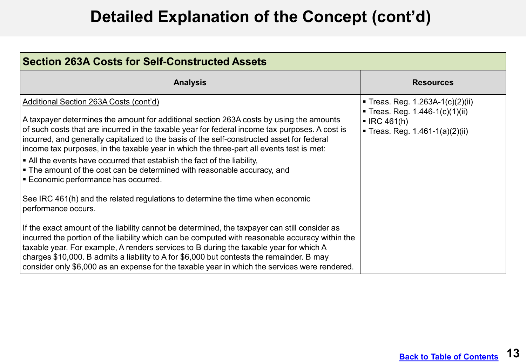| <b>Section 263A Costs for Self-Constructed Assets</b>                                                                                                                                                                                                                                                                                                                                                                                                                                                                                                                                                                                                                                                                                                                                                                                                                                                                                                                                                                                                                                                                                                                                                                                                      |                                                                                                                                 |
|------------------------------------------------------------------------------------------------------------------------------------------------------------------------------------------------------------------------------------------------------------------------------------------------------------------------------------------------------------------------------------------------------------------------------------------------------------------------------------------------------------------------------------------------------------------------------------------------------------------------------------------------------------------------------------------------------------------------------------------------------------------------------------------------------------------------------------------------------------------------------------------------------------------------------------------------------------------------------------------------------------------------------------------------------------------------------------------------------------------------------------------------------------------------------------------------------------------------------------------------------------|---------------------------------------------------------------------------------------------------------------------------------|
| <b>Analysis</b>                                                                                                                                                                                                                                                                                                                                                                                                                                                                                                                                                                                                                                                                                                                                                                                                                                                                                                                                                                                                                                                                                                                                                                                                                                            | <b>Resources</b>                                                                                                                |
| Additional Section 263A Costs (cont'd)<br>$\mid$ A taxpayer determines the amount for additional section 263A costs by using the amounts<br>of such costs that are incurred in the taxable year for federal income tax purposes. A cost is<br>incurred, and generally capitalized to the basis of the self-constructed asset for federal<br>lincome tax purposes, in the taxable year in which the three-part all events test is met:<br>$\vert$ • All the events have occurred that establish the fact of the liability,<br>$\vert$ = The amount of the cost can be determined with reasonable accuracy, and<br>Economic performance has occurred.<br>See IRC 461(h) and the related regulations to determine the time when economic<br>performance occurs.<br>If the exact amount of the liability cannot be determined, the taxpayer can still consider as<br>incurred the portion of the liability which can be computed with reasonable accuracy within the<br>taxable year. For example, A renders services to B during the taxable year for which A<br>charges \$10,000. B admits a liability to A for \$6,000 but contests the remainder. B may<br>  consider only \$6,000 as an expense for the taxable year in which the services were rendered. | ■ Treas. Reg. 1.263A-1(c)(2)(ii)<br>Treas. Reg. 1.446-1(c)(1)(ii)<br>$\blacksquare$ IRC 461(h)<br>Treas. Reg. 1.461-1(a)(2)(ii) |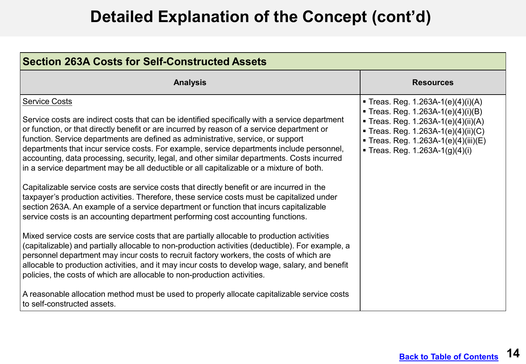| <b>Section 263A Costs for Self-Constructed Assets</b>                                                                                                                                                                                                                                                                                                                                                                                                                                                                                                                                                                                                                                                                                                                                                                                                                                                                                                                                                                                                                                                                                                                                                                                                                                                                                                                                                                                                                                                                                                                                  |                                                                                                                                                                                                                         |
|----------------------------------------------------------------------------------------------------------------------------------------------------------------------------------------------------------------------------------------------------------------------------------------------------------------------------------------------------------------------------------------------------------------------------------------------------------------------------------------------------------------------------------------------------------------------------------------------------------------------------------------------------------------------------------------------------------------------------------------------------------------------------------------------------------------------------------------------------------------------------------------------------------------------------------------------------------------------------------------------------------------------------------------------------------------------------------------------------------------------------------------------------------------------------------------------------------------------------------------------------------------------------------------------------------------------------------------------------------------------------------------------------------------------------------------------------------------------------------------------------------------------------------------------------------------------------------------|-------------------------------------------------------------------------------------------------------------------------------------------------------------------------------------------------------------------------|
| <b>Analysis</b>                                                                                                                                                                                                                                                                                                                                                                                                                                                                                                                                                                                                                                                                                                                                                                                                                                                                                                                                                                                                                                                                                                                                                                                                                                                                                                                                                                                                                                                                                                                                                                        | <b>Resources</b>                                                                                                                                                                                                        |
| <b>Service Costs</b><br>Service costs are indirect costs that can be identified specifically with a service department<br>or function, or that directly benefit or are incurred by reason of a service department or<br>function. Service departments are defined as administrative, service, or support<br>departments that incur service costs. For example, service departments include personnel,<br>accounting, data processing, security, legal, and other similar departments. Costs incurred<br>in a service department may be all deductible or all capitalizable or a mixture of both.<br>Capitalizable service costs are service costs that directly benefit or are incurred in the<br>taxpayer's production activities. Therefore, these service costs must be capitalized under<br>section 263A. An example of a service department or function that incurs capitalizable<br>service costs is an accounting department performing cost accounting functions.<br>Mixed service costs are service costs that are partially allocable to production activities<br>(capitalizable) and partially allocable to non-production activities (deductible). For example, a<br>personnel department may incur costs to recruit factory workers, the costs of which are<br>allocable to production activities, and it may incur costs to develop wage, salary, and benefit<br>policies, the costs of which are allocable to non-production activities.<br>A reasonable allocation method must be used to properly allocate capitalizable service costs<br>to self-constructed assets. | ■ Treas. Reg. 1.263A-1(e)(4)(i)(A)<br>Treas. Reg. 1.263A-1(e)(4)(i)(B)<br>Treas. Reg. 1.263A-1(e)(4)(ii)(A)<br>Treas. Reg. 1.263A-1(e)(4)(ii)(C)<br>Treas. Reg. 1.263A-1(e)(4)(iii)(E)<br>Treas. Reg. 1.263A-1(g)(4)(i) |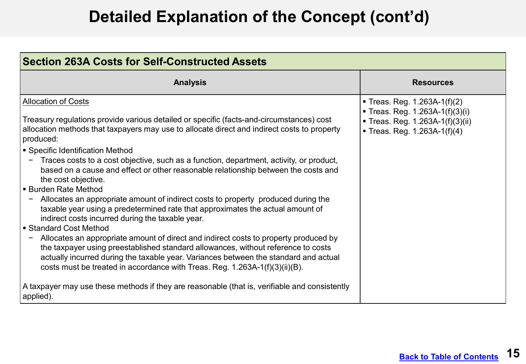| <b>Section 263A Costs for Self-Constructed Assets</b>                                                                                                                                                                                                                                                                                                                                                                                                                                                                                                                                                                                                                                                                                                                                                                                                                                                                                                                                                                                                                                                                                                                                                             |                                                                                                                                 |
|-------------------------------------------------------------------------------------------------------------------------------------------------------------------------------------------------------------------------------------------------------------------------------------------------------------------------------------------------------------------------------------------------------------------------------------------------------------------------------------------------------------------------------------------------------------------------------------------------------------------------------------------------------------------------------------------------------------------------------------------------------------------------------------------------------------------------------------------------------------------------------------------------------------------------------------------------------------------------------------------------------------------------------------------------------------------------------------------------------------------------------------------------------------------------------------------------------------------|---------------------------------------------------------------------------------------------------------------------------------|
| <b>Analysis</b>                                                                                                                                                                                                                                                                                                                                                                                                                                                                                                                                                                                                                                                                                                                                                                                                                                                                                                                                                                                                                                                                                                                                                                                                   | <b>Resources</b>                                                                                                                |
| <b>Allocation of Costs</b><br>Treasury regulations provide various detailed or specific (facts-and-circumstances) cost<br>allocation methods that taxpayers may use to allocate direct and indirect costs to property<br>produced:<br>Specific Identification Method<br>Traces costs to a cost objective, such as a function, department, activity, or product,<br>based on a cause and effect or other reasonable relationship between the costs and<br>the cost objective.<br><b>Burden Rate Method</b><br>Allocates an appropriate amount of indirect costs to property produced during the<br>taxable year using a predetermined rate that approximates the actual amount of<br>indirect costs incurred during the taxable year.<br>Standard Cost Method<br>Allocates an appropriate amount of direct and indirect costs to property produced by<br>the taxpayer using preestablished standard allowances, without reference to costs<br>actually incurred during the taxable year. Variances between the standard and actual<br>costs must be treated in accordance with Treas. Reg. 1.263A-1(f)(3)(ii)(B).<br>A taxpayer may use these methods if they are reasonable (that is, verifiable and consistently | Treas. Reg. $1.263A-1(f)(2)$<br>Treas. Reg. 1.263A-1(f)(3)(i)<br>■ Treas. Reg. 1.263A-1(f)(3)(ii)<br>Treas. Reg. 1.263A-1(f)(4) |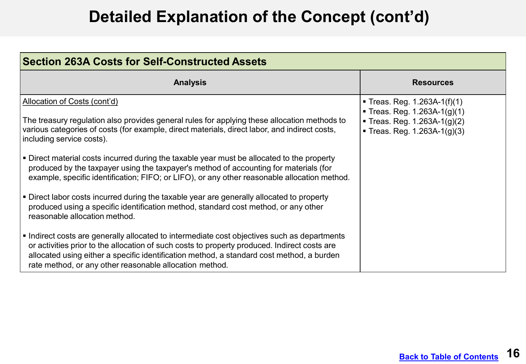| <b>Section 263A Costs for Self-Constructed Assets</b>                                                                                                                                                                                                                                                                                              |                                                                                                                      |
|----------------------------------------------------------------------------------------------------------------------------------------------------------------------------------------------------------------------------------------------------------------------------------------------------------------------------------------------------|----------------------------------------------------------------------------------------------------------------------|
| <b>Analysis</b>                                                                                                                                                                                                                                                                                                                                    | <b>Resources</b>                                                                                                     |
| Allocation of Costs (cont'd)<br>The treasury regulation also provides general rules for applying these allocation methods to<br>various categories of costs (for example, direct materials, direct labor, and indirect costs,<br>including service costs).                                                                                         | Treas. Reg. 1.263A-1(f)(1)<br>Treas. Reg. 1.263A-1(g)(1)<br>Treas. Reg. 1.263A-1(g)(2)<br>Treas. Reg. 1.263A-1(g)(3) |
| • Direct material costs incurred during the taxable year must be allocated to the property<br>produced by the taxpayer using the taxpayer's method of accounting for materials (for<br>example, specific identification; FIFO; or LIFO), or any other reasonable allocation method.                                                                |                                                                                                                      |
| • Direct labor costs incurred during the taxable year are generally allocated to property<br>produced using a specific identification method, standard cost method, or any other<br>reasonable allocation method.                                                                                                                                  |                                                                                                                      |
| Indirect costs are generally allocated to intermediate cost objectives such as departments<br>or activities prior to the allocation of such costs to property produced. Indirect costs are<br>allocated using either a specific identification method, a standard cost method, a burden<br>rate method, or any other reasonable allocation method. |                                                                                                                      |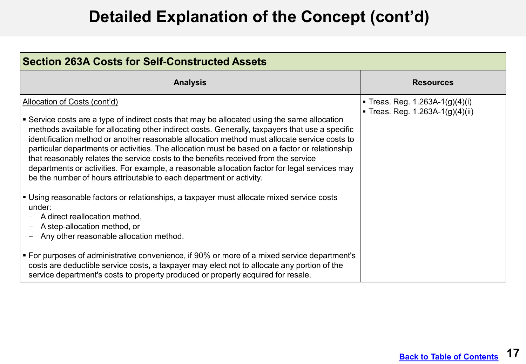| Section 263A Costs for Self-Constructed Assets                                                                                                                                                                                                                                                                                                                                                                                                                                                                                                                                                                                                                                                                                                                                                                                                                                                                                                                                                                                                                                                                                                                                                                                   |                                                                   |
|----------------------------------------------------------------------------------------------------------------------------------------------------------------------------------------------------------------------------------------------------------------------------------------------------------------------------------------------------------------------------------------------------------------------------------------------------------------------------------------------------------------------------------------------------------------------------------------------------------------------------------------------------------------------------------------------------------------------------------------------------------------------------------------------------------------------------------------------------------------------------------------------------------------------------------------------------------------------------------------------------------------------------------------------------------------------------------------------------------------------------------------------------------------------------------------------------------------------------------|-------------------------------------------------------------------|
| <b>Analysis</b>                                                                                                                                                                                                                                                                                                                                                                                                                                                                                                                                                                                                                                                                                                                                                                                                                                                                                                                                                                                                                                                                                                                                                                                                                  | <b>Resources</b>                                                  |
| Allocation of Costs (cont'd)<br>Service costs are a type of indirect costs that may be allocated using the same allocation<br>methods available for allocating other indirect costs. Generally, taxpayers that use a specific<br>identification method or another reasonable allocation method must allocate service costs to<br>particular departments or activities. The allocation must be based on a factor or relationship<br>that reasonably relates the service costs to the benefits received from the service<br>departments or activities. For example, a reasonable allocation factor for legal services may<br>be the number of hours attributable to each department or activity.<br>• Using reasonable factors or relationships, a taxpayer must allocate mixed service costs<br>under:<br>A direct reallocation method,<br>A step-allocation method, or<br>$\overline{\phantom{m}}$<br>Any other reasonable allocation method.<br>• For purposes of administrative convenience, if 90% or more of a mixed service department's<br>costs are deductible service costs, a taxpayer may elect not to allocate any portion of the<br>service department's costs to property produced or property acquired for resale. | • Treas. Reg. 1.263A-1(g)(4)(i)<br>Treas. Reg. 1.263A-1(g)(4)(ii) |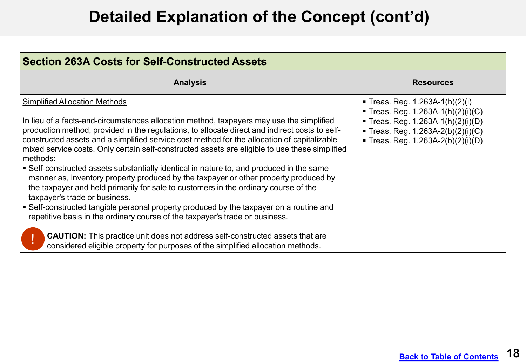| <b>Section 263A Costs for Self-Constructed Assets</b>                                                                                                                                                                                                                                                                                                                                                                                                                                                                                                                                                                                                                                                                                                                                                                                                                                                                                                                                                                                                                                                           |                                                                                                                                                                                         |
|-----------------------------------------------------------------------------------------------------------------------------------------------------------------------------------------------------------------------------------------------------------------------------------------------------------------------------------------------------------------------------------------------------------------------------------------------------------------------------------------------------------------------------------------------------------------------------------------------------------------------------------------------------------------------------------------------------------------------------------------------------------------------------------------------------------------------------------------------------------------------------------------------------------------------------------------------------------------------------------------------------------------------------------------------------------------------------------------------------------------|-----------------------------------------------------------------------------------------------------------------------------------------------------------------------------------------|
| <b>Analysis</b>                                                                                                                                                                                                                                                                                                                                                                                                                                                                                                                                                                                                                                                                                                                                                                                                                                                                                                                                                                                                                                                                                                 | <b>Resources</b>                                                                                                                                                                        |
| <b>Simplified Allocation Methods</b><br>In lieu of a facts-and-circumstances allocation method, taxpayers may use the simplified<br>production method, provided in the regulations, to allocate direct and indirect costs to self-<br>constructed assets and a simplified service cost method for the allocation of capitalizable<br>mixed service costs. Only certain self-constructed assets are eligible to use these simplified<br>methods:<br>• Self-constructed assets substantially identical in nature to, and produced in the same<br>manner as, inventory property produced by the taxpayer or other property produced by<br>the taxpayer and held primarily for sale to customers in the ordinary course of the<br>taxpayer's trade or business.<br>Self-constructed tangible personal property produced by the taxpayer on a routine and<br>repetitive basis in the ordinary course of the taxpayer's trade or business.<br><b>CAUTION:</b> This practice unit does not address self-constructed assets that are<br>considered eligible property for purposes of the simplified allocation methods. | ■ Treas. Reg. 1.263A-1(h)(2)(i)<br>■ Treas. Reg. 1.263A-1(h)(2)(i)(C)<br>■ Treas. Reg. 1.263A-1(h)(2)(i)(D)<br>■ Treas. Reg. 1.263A-2(b)(2)(i)(C)<br>■ Treas. Reg. 1.263A-2(b)(2)(i)(D) |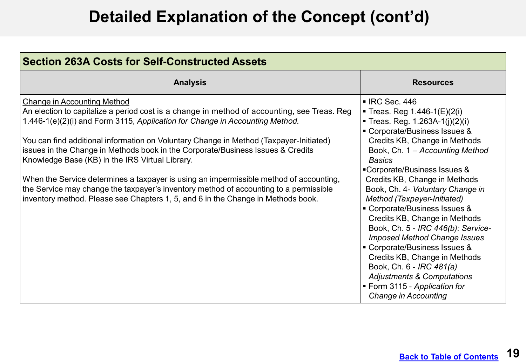| <b>Section 263A Costs for Self-Constructed Assets</b>                                                                                                                                                                                                                                                                                                                                                                                                                                                                                                                                                                                                                                                                    |                                                                                                                                                                                                                                                                                                                                                                                                                                                                                                                                                                                                                                                                                           |
|--------------------------------------------------------------------------------------------------------------------------------------------------------------------------------------------------------------------------------------------------------------------------------------------------------------------------------------------------------------------------------------------------------------------------------------------------------------------------------------------------------------------------------------------------------------------------------------------------------------------------------------------------------------------------------------------------------------------------|-------------------------------------------------------------------------------------------------------------------------------------------------------------------------------------------------------------------------------------------------------------------------------------------------------------------------------------------------------------------------------------------------------------------------------------------------------------------------------------------------------------------------------------------------------------------------------------------------------------------------------------------------------------------------------------------|
| <b>Analysis</b>                                                                                                                                                                                                                                                                                                                                                                                                                                                                                                                                                                                                                                                                                                          | <b>Resources</b>                                                                                                                                                                                                                                                                                                                                                                                                                                                                                                                                                                                                                                                                          |
| <b>Change in Accounting Method</b><br>An election to capitalize a period cost is a change in method of accounting, see Treas. Reg<br>1.446-1(e)(2)(i) and Form 3115, Application for Change in Accounting Method.<br>You can find additional information on Voluntary Change in Method (Taxpayer-Initiated)<br>issues in the Change in Methods book in the Corporate/Business Issues & Credits<br>Knowledge Base (KB) in the IRS Virtual Library.<br>When the Service determines a taxpayer is using an impermissible method of accounting,<br>the Service may change the taxpayer's inventory method of accounting to a permissible<br>inventory method. Please see Chapters 1, 5, and 6 in the Change in Methods book. | ■ IRC Sec. 446<br>Treas. Reg $1.446 - 1(E)(2(i))$<br>Treas. Reg. 1.263A-1(j)(2)(i)<br>Corporate/Business Issues &<br>Credits KB, Change in Methods<br>Book, Ch. 1 - Accounting Method<br><b>Basics</b><br>■Corporate/Business Issues &<br>Credits KB, Change in Methods<br>Book, Ch. 4- Voluntary Change in<br>Method (Taxpayer-Initiated)<br>■ Corporate/Business Issues &<br>Credits KB, Change in Methods<br>Book, Ch. 5 - IRC 446(b): Service-<br><b>Imposed Method Change Issues</b><br>■ Corporate/Business Issues &<br>Credits KB, Change in Methods<br>Book, Ch. 6 - IRC 481(a)<br><b>Adjustments &amp; Computations</b><br>■ Form 3115 - Application for<br>Change in Accounting |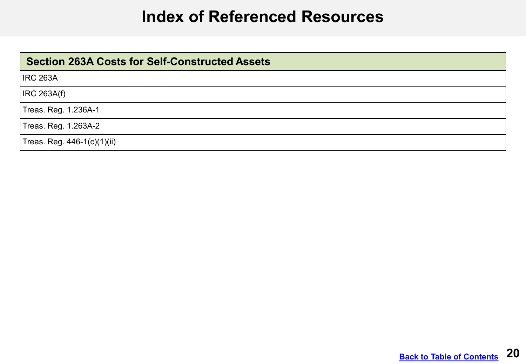#### **Index of Referenced Resources**

<span id="page-19-0"></span>

| <b>Section 263A Costs for Self-Constructed Assets</b> |
|-------------------------------------------------------|
| <b>IRC 263A</b>                                       |
| <b>IRC 263A(f)</b>                                    |
| Treas. Reg. 1.236A-1                                  |
| Treas. Reg. 1.263A-2                                  |
| Treas. Reg. 446-1(c)(1)(ii)                           |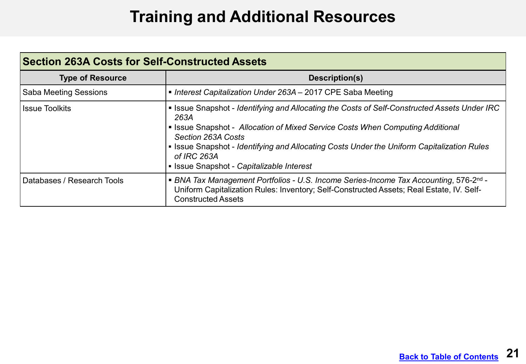## **Training and Additional Resources**

<span id="page-20-0"></span>

| <b>Section 263A Costs for Self-Constructed Assets</b> |                                                                                                                                                                                                                                                                                                                                                                        |  |
|-------------------------------------------------------|------------------------------------------------------------------------------------------------------------------------------------------------------------------------------------------------------------------------------------------------------------------------------------------------------------------------------------------------------------------------|--|
| <b>Type of Resource</b>                               | Description(s)                                                                                                                                                                                                                                                                                                                                                         |  |
| <b>Saba Meeting Sessions</b>                          | • Interest Capitalization Under 263A – 2017 CPE Saba Meeting                                                                                                                                                                                                                                                                                                           |  |
| <b>Issue Toolkits</b>                                 | • Issue Snapshot - Identifying and Allocating the Costs of Self-Constructed Assets Under IRC<br>263A<br>• Issue Snapshot - Allocation of Mixed Service Costs When Computing Additional<br>Section 263A Costs<br>• Issue Snapshot - Identifying and Allocating Costs Under the Uniform Capitalization Rules<br>of IRC 263A<br>• Issue Snapshot - Capitalizable Interest |  |
| Databases / Research Tools                            | ■ BNA Tax Management Portfolios - U.S. Income Series-Income Tax Accounting, 576-2 <sup>nd</sup> -<br>Uniform Capitalization Rules: Inventory; Self-Constructed Assets; Real Estate, IV. Self-<br><b>Constructed Assets</b>                                                                                                                                             |  |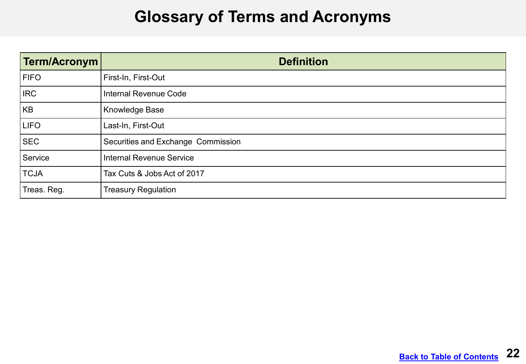#### **Glossary of Terms and Acronyms**

<span id="page-21-0"></span>

| Term/Acronym | <b>Definition</b>                  |
|--------------|------------------------------------|
| <b>FIFO</b>  | First-In, First-Out                |
| <b>IRC</b>   | <b>Internal Revenue Code</b>       |
| KB           | <b>Knowledge Base</b>              |
| <b>LIFO</b>  | Last-In, First-Out                 |
| <b>SEC</b>   | Securities and Exchange Commission |
| Service      | <b>Internal Revenue Service</b>    |
| <b>TCJA</b>  | Tax Cuts & Jobs Act of 2017        |
| Treas. Reg.  | <b>Treasury Regulation</b>         |